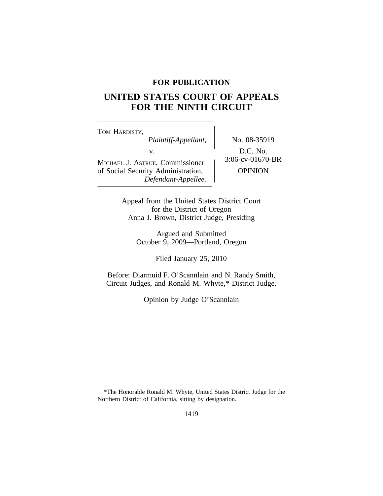## **FOR PUBLICATION**

# **UNITED STATES COURT OF APPEALS FOR THE NINTH CIRCUIT**

<sup>T</sup>OM HARDISTY, *Plaintiff-Appellant,* No. 08-35919 v.  $D.C. No.$ <br>Examples 1.06-cv-01670-BR MICHAEL J. ASTRUE, Commissioner of Social Security Administration,  $\qquad$  OPINION *Defendant-Appellee.*

Appeal from the United States District Court for the District of Oregon Anna J. Brown, District Judge, Presiding

> Argued and Submitted October 9, 2009—Portland, Oregon

> > Filed January 25, 2010

Before: Diarmuid F. O'Scannlain and N. Randy Smith, Circuit Judges, and Ronald M. Whyte,\* District Judge.

Opinion by Judge O'Scannlain

<sup>\*</sup>The Honorable Ronald M. Whyte, United States District Judge for the Northern District of California, sitting by designation.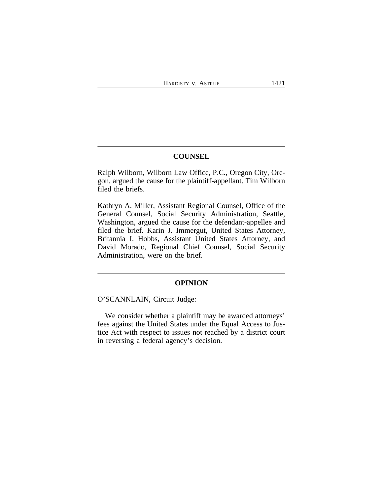## **COUNSEL**

Ralph Wilborn, Wilborn Law Office, P.C., Oregon City, Oregon, argued the cause for the plaintiff-appellant. Tim Wilborn filed the briefs.

Kathryn A. Miller, Assistant Regional Counsel, Office of the General Counsel, Social Security Administration, Seattle, Washington, argued the cause for the defendant-appellee and filed the brief. Karin J. Immergut, United States Attorney, Britannia I. Hobbs, Assistant United States Attorney, and David Morado, Regional Chief Counsel, Social Security Administration, were on the brief.

#### **OPINION**

O'SCANNLAIN, Circuit Judge:

We consider whether a plaintiff may be awarded attorneys' fees against the United States under the Equal Access to Justice Act with respect to issues not reached by a district court in reversing a federal agency's decision.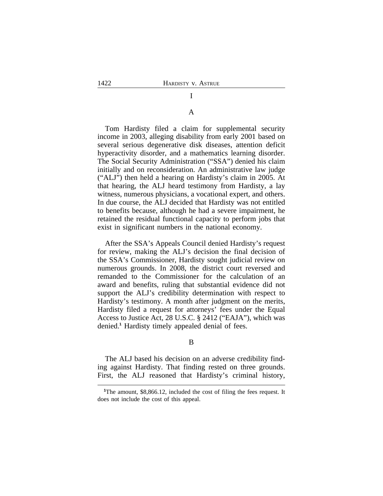#### A

I

Tom Hardisty filed a claim for supplemental security income in 2003, alleging disability from early 2001 based on several serious degenerative disk diseases, attention deficit hyperactivity disorder, and a mathematics learning disorder. The Social Security Administration ("SSA") denied his claim initially and on reconsideration. An administrative law judge ("ALJ") then held a hearing on Hardisty's claim in 2005. At that hearing, the ALJ heard testimony from Hardisty, a lay witness, numerous physicians, a vocational expert, and others. In due course, the ALJ decided that Hardisty was not entitled to benefits because, although he had a severe impairment, he retained the residual functional capacity to perform jobs that exist in significant numbers in the national economy.

After the SSA's Appeals Council denied Hardisty's request for review, making the ALJ's decision the final decision of the SSA's Commissioner, Hardisty sought judicial review on numerous grounds. In 2008, the district court reversed and remanded to the Commissioner for the calculation of an award and benefits, ruling that substantial evidence did not support the ALJ's credibility determination with respect to Hardisty's testimony. A month after judgment on the merits, Hardisty filed a request for attorneys' fees under the Equal Access to Justice Act, 28 U.S.C. § 2412 ("EAJA"), which was denied.**<sup>1</sup>** Hardisty timely appealed denial of fees.

#### B

The ALJ based his decision on an adverse credibility finding against Hardisty. That finding rested on three grounds. First, the ALJ reasoned that Hardisty's criminal history,

<sup>&</sup>lt;sup>1</sup>The amount, \$8,866.12, included the cost of filing the fees request. It does not include the cost of this appeal.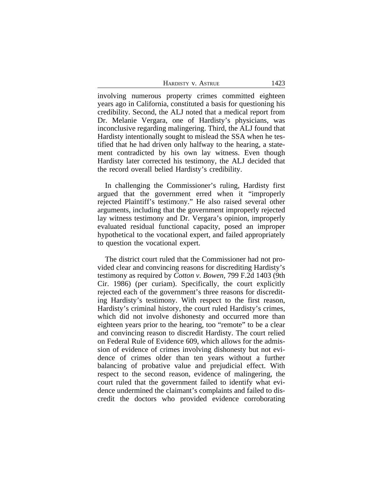| HARDISTY V. ASTRUE | 1423 |
|--------------------|------|
|                    |      |

involving numerous property crimes committed eighteen years ago in California, constituted a basis for questioning his credibility. Second, the ALJ noted that a medical report from Dr. Melanie Vergara, one of Hardisty's physicians, was inconclusive regarding malingering. Third, the ALJ found that Hardisty intentionally sought to mislead the SSA when he testified that he had driven only halfway to the hearing, a statement contradicted by his own lay witness. Even though Hardisty later corrected his testimony, the ALJ decided that the record overall belied Hardisty's credibility.

In challenging the Commissioner's ruling, Hardisty first argued that the government erred when it "improperly rejected Plaintiff's testimony." He also raised several other arguments, including that the government improperly rejected lay witness testimony and Dr. Vergara's opinion, improperly evaluated residual functional capacity, posed an improper hypothetical to the vocational expert, and failed appropriately to question the vocational expert.

The district court ruled that the Commissioner had not provided clear and convincing reasons for discrediting Hardisty's testimony as required by *Cotton v. Bowen*, 799 F.2d 1403 (9th Cir. 1986) (per curiam). Specifically, the court explicitly rejected each of the government's three reasons for discrediting Hardisty's testimony. With respect to the first reason, Hardisty's criminal history, the court ruled Hardisty's crimes, which did not involve dishonesty and occurred more than eighteen years prior to the hearing, too "remote" to be a clear and convincing reason to discredit Hardisty. The court relied on Federal Rule of Evidence 609, which allows for the admission of evidence of crimes involving dishonesty but not evidence of crimes older than ten years without a further balancing of probative value and prejudicial effect. With respect to the second reason, evidence of malingering, the court ruled that the government failed to identify what evidence undermined the claimant's complaints and failed to discredit the doctors who provided evidence corroborating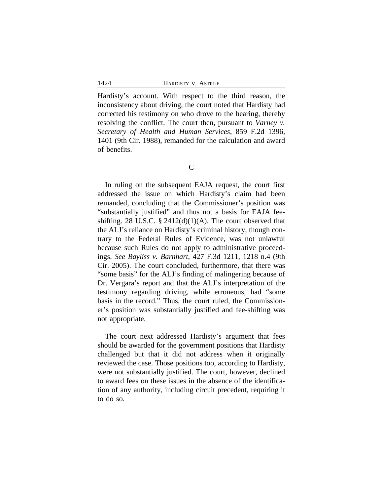Hardisty's account. With respect to the third reason, the inconsistency about driving, the court noted that Hardisty had corrected his testimony on who drove to the hearing, thereby resolving the conflict. The court then, pursuant to *Varney v. Secretary of Health and Human Services*, 859 F.2d 1396, 1401 (9th Cir. 1988), remanded for the calculation and award of benefits.

C

In ruling on the subsequent EAJA request, the court first addressed the issue on which Hardisty's claim had been remanded, concluding that the Commissioner's position was "substantially justified" and thus not a basis for EAJA feeshifting. 28 U.S.C.  $\S$  2412(d)(1)(A). The court observed that the ALJ's reliance on Hardisty's criminal history, though contrary to the Federal Rules of Evidence, was not unlawful because such Rules do not apply to administrative proceedings. *See Bayliss v. Barnhart*, 427 F.3d 1211, 1218 n.4 (9th Cir. 2005). The court concluded, furthermore, that there was "some basis" for the ALJ's finding of malingering because of Dr. Vergara's report and that the ALJ's interpretation of the testimony regarding driving, while erroneous, had "some basis in the record." Thus, the court ruled, the Commissioner's position was substantially justified and fee-shifting was not appropriate.

The court next addressed Hardisty's argument that fees should be awarded for the government positions that Hardisty challenged but that it did not address when it originally reviewed the case. Those positions too, according to Hardisty, were not substantially justified. The court, however, declined to award fees on these issues in the absence of the identification of any authority, including circuit precedent, requiring it to do so.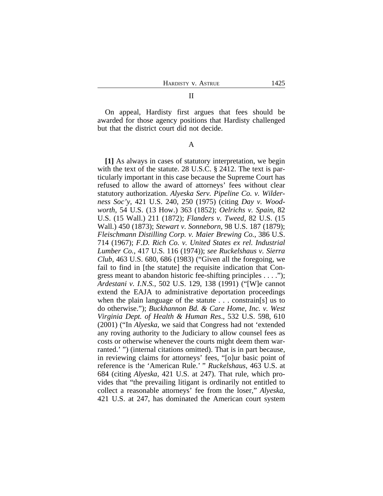## On appeal, Hardisty first argues that fees should be awarded for those agency positions that Hardisty challenged but that the district court did not decide.

A

**[1]** As always in cases of statutory interpretation, we begin with the text of the statute. 28 U.S.C. § 2412. The text is particularly important in this case because the Supreme Court has refused to allow the award of attorneys' fees without clear statutory authorization. *Alyeska Serv. Pipeline Co. v. Wilderness Soc'y*, 421 U.S. 240, 250 (1975) (citing *Day v. Woodworth*, 54 U.S. (13 How.) 363 (1852); *Oelrichs v. Spain*, 82 U.S. (15 Wall.) 211 (1872); *Flanders v. Tweed*, 82 U.S. (15 Wall.) 450 (1873); *Stewart v. Sonneborn*, 98 U.S. 187 (1879); *Fleischmann Distilling Corp. v. Maier Brewing Co.*, 386 U.S. 714 (1967); *F.D. Rich Co. v. United States ex rel. Industrial Lumber Co.*, 417 U.S. 116 (1974)); *see Ruckelshaus v. Sierra Club*, 463 U.S. 680, 686 (1983) ("Given all the foregoing, we fail to find in [the statute] the requisite indication that Congress meant to abandon historic fee-shifting principles . . . ."); *Ardestani v. I.N.S.*, 502 U.S. 129, 138 (1991) ("[W]e cannot extend the EAJA to administrative deportation proceedings when the plain language of the statute . . . constrain[s] us to do otherwise."); *Buckhannon Bd. & Care Home, Inc. v. West Virginia Dept. of Health & Human Res*., 532 U.S. 598, 610 (2001) ("In *Alyeska*, we said that Congress had not 'extended any roving authority to the Judiciary to allow counsel fees as costs or otherwise whenever the courts might deem them warranted.' ") (internal citations omitted). That is in part because, in reviewing claims for attorneys' fees, "[o]ur basic point of reference is the 'American Rule.' " *Ruckelshaus*, 463 U.S. at 684 (citing *Alyeska*, 421 U.S. at 247). That rule, which provides that "the prevailing litigant is ordinarily not entitled to collect a reasonable attorneys' fee from the loser," *Alyeska*, 421 U.S. at 247, has dominated the American court system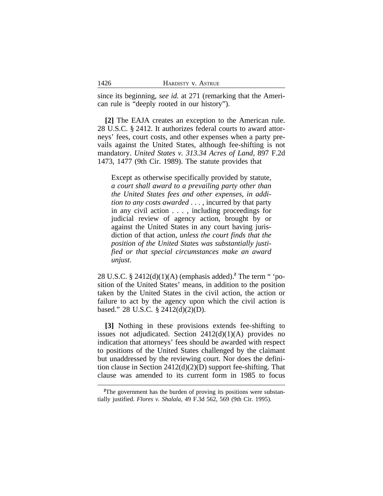since its beginning, *see id.* at 271 (remarking that the American rule is "deeply rooted in our history").

**[2]** The EAJA creates an exception to the American rule. 28 U.S.C. § 2412. It authorizes federal courts to award attorneys' fees, court costs, and other expenses when a party prevails against the United States, although fee-shifting is not mandatory. *United States v. 313.34 Acres of Land*, 897 F.2d 1473, 1477 (9th Cir. 1989). The statute provides that

Except as otherwise specifically provided by statute, *a court shall award to a prevailing party other than the United States fees and other expenses*, *in addition to any costs awarded* . . . , incurred by that party in any civil action . . . , including proceedings for judicial review of agency action, brought by or against the United States in any court having jurisdiction of that action, *unless the court finds that the position of the United States was substantially justified or that special circumstances make an award unjust*.

28 U.S.C. § 2412(d)(1)(A) (emphasis added).**<sup>2</sup>** The term " 'position of the United States' means, in addition to the position taken by the United States in the civil action, the action or failure to act by the agency upon which the civil action is based." 28 U.S.C. § 2412(d)(2)(D).

**[3]** Nothing in these provisions extends fee-shifting to issues not adjudicated. Section  $2412(d)(1)(A)$  provides no indication that attorneys' fees should be awarded with respect to positions of the United States challenged by the claimant but unaddressed by the reviewing court. Nor does the definition clause in Section 2412(d)(2)(D) support fee-shifting. That clause was amended to its current form in 1985 to focus

<sup>&</sup>lt;sup>2</sup>The government has the burden of proving its positions were substantially justified. *Flores v. Shalala*, 49 F.3d 562, 569 (9th Cir. 1995).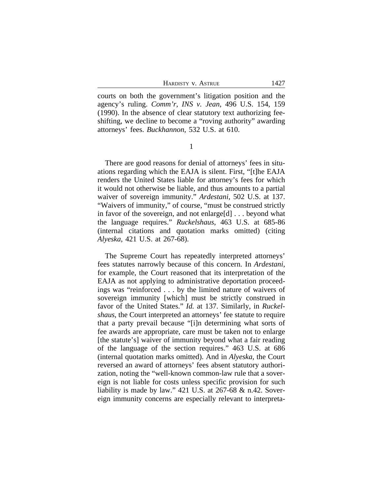HARDISTY V. ASTRUE 1427

courts on both the government's litigation position and the agency's ruling. *Comm'r, INS v. Jean*, 496 U.S. 154, 159 (1990). In the absence of clear statutory text authorizing feeshifting, we decline to become a "roving authority" awarding attorneys' fees. *Buckhannon*, 532 U.S. at 610.

1

There are good reasons for denial of attorneys' fees in situations regarding which the EAJA is silent. First, "[t]he EAJA renders the United States liable for attorney's fees for which it would not otherwise be liable, and thus amounts to a partial waiver of sovereign immunity." *Ardestani*, 502 U.S. at 137. "Waivers of immunity," of course, "must be construed strictly in favor of the sovereign, and not enlarge[d] . . . beyond what the language requires." *Ruckelshaus*, 463 U.S. at 685-86 (internal citations and quotation marks omitted) (citing *Alyeska*, 421 U.S. at 267-68).

The Supreme Court has repeatedly interpreted attorneys' fees statutes narrowly because of this concern. In *Ardestani*, for example, the Court reasoned that its interpretation of the EAJA as not applying to administrative deportation proceedings was "reinforced . . . by the limited nature of waivers of sovereign immunity [which] must be strictly construed in favor of the United States." *Id.* at 137. Similarly, in *Ruckelshaus*, the Court interpreted an attorneys' fee statute to require that a party prevail because "[i]n determining what sorts of fee awards are appropriate, care must be taken not to enlarge [the statute's] waiver of immunity beyond what a fair reading of the language of the section requires." 463 U.S. at 686 (internal quotation marks omitted). And in *Alyeska*, the Court reversed an award of attorneys' fees absent statutory authorization, noting the "well-known common-law rule that a sovereign is not liable for costs unless specific provision for such liability is made by law." 421 U.S. at 267-68 & n.42. Sovereign immunity concerns are especially relevant to interpreta-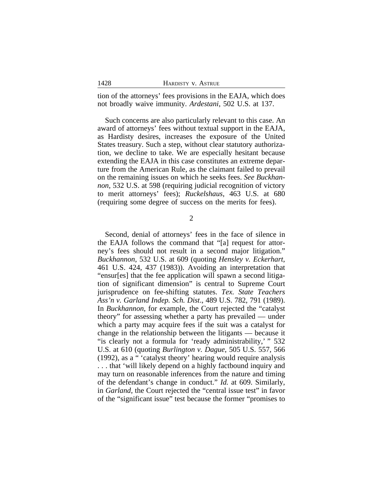tion of the attorneys' fees provisions in the EAJA, which does not broadly waive immunity. *Ardestani*, 502 U.S. at 137.

Such concerns are also particularly relevant to this case. An award of attorneys' fees without textual support in the EAJA, as Hardisty desires, increases the exposure of the United States treasury. Such a step, without clear statutory authorization, we decline to take. We are especially hesitant because extending the EAJA in this case constitutes an extreme departure from the American Rule, as the claimant failed to prevail on the remaining issues on which he seeks fees. *See Buckhannon*, 532 U.S. at 598 (requiring judicial recognition of victory to merit attorneys' fees); *Ruckelshaus*, 463 U.S. at 680 (requiring some degree of success on the merits for fees).

2

Second, denial of attorneys' fees in the face of silence in the EAJA follows the command that "[a] request for attorney's fees should not result in a second major litigation." *Buckhannon*, 532 U.S. at 609 (quoting *Hensley v. Eckerhart*, 461 U.S. 424, 437 (1983)). Avoiding an interpretation that "ensur[es] that the fee application will spawn a second litigation of significant dimension" is central to Supreme Court jurisprudence on fee-shifting statutes. *Tex. State Teachers Ass'n v. Garland Indep. Sch. Dist*., 489 U.S. 782, 791 (1989). In *Buckhannon*, for example, the Court rejected the "catalyst theory" for assessing whether a party has prevailed — under which a party may acquire fees if the suit was a catalyst for change in the relationship between the litigants — because it "is clearly not a formula for 'ready administrability,' " 532 U.S. at 610 (quoting *Burlington v. Dague*, 505 U.S. 557, 566 (1992), as a " 'catalyst theory' hearing would require analysis . . . that 'will likely depend on a highly factbound inquiry and may turn on reasonable inferences from the nature and timing of the defendant's change in conduct." *Id.* at 609. Similarly, in *Garland*, the Court rejected the "central issue test" in favor of the "significant issue" test because the former "promises to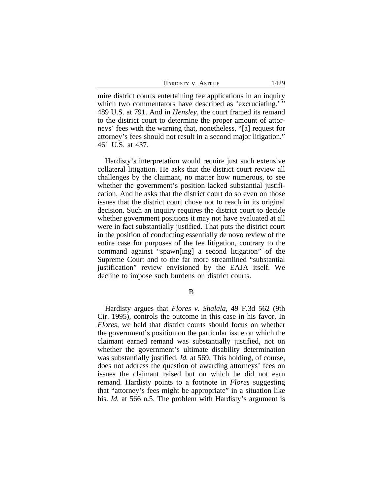| 1429 |
|------|
|      |

mire district courts entertaining fee applications in an inquiry which two commentators have described as 'excruciating.' " 489 U.S. at 791. And in *Hensley*, the court framed its remand to the district court to determine the proper amount of attorneys' fees with the warning that, nonetheless, "[a] request for attorney's fees should not result in a second major litigation." 461 U.S. at 437.

Hardisty's interpretation would require just such extensive collateral litigation. He asks that the district court review all challenges by the claimant, no matter how numerous, to see whether the government's position lacked substantial justification. And he asks that the district court do so even on those issues that the district court chose not to reach in its original decision. Such an inquiry requires the district court to decide whether government positions it may not have evaluated at all were in fact substantially justified. That puts the district court in the position of conducting essentially de novo review of the entire case for purposes of the fee litigation, contrary to the command against "spawn[ing] a second litigation" of the Supreme Court and to the far more streamlined "substantial justification" review envisioned by the EAJA itself. We decline to impose such burdens on district courts.

Hardisty argues that *Flores v. Shalala*, 49 F.3d 562 (9th Cir. 1995), controls the outcome in this case in his favor. In *Flores*, we held that district courts should focus on whether the government's position on the particular issue on which the claimant earned remand was substantially justified, not on whether the government's ultimate disability determination was substantially justified. *Id.* at 569. This holding, of course, does not address the question of awarding attorneys' fees on issues the claimant raised but on which he did not earn remand. Hardisty points to a footnote in *Flores* suggesting that "attorney's fees might be appropriate" in a situation like his. *Id.* at 566 n.5. The problem with Hardisty's argument is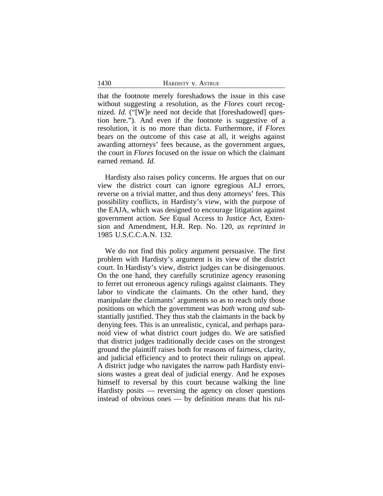1430 HARDISTY v. ASTRUE

that the footnote merely foreshadows the issue in this case without suggesting a resolution, as the *Flores* court recognized. *Id.* ("[W]e need not decide that [foreshadowed] question here."). And even if the footnote is suggestive of a resolution, it is no more than dicta. Furthermore, if *Flores* bears on the outcome of this case at all, it weighs against awarding attorneys' fees because, as the government argues, the court in *Flores* focused on the issue on which the claimant earned remand. *Id.*

Hardisty also raises policy concerns. He argues that on our view the district court can ignore egregious ALJ errors, reverse on a trivial matter, and thus deny attorneys' fees. This possibility conflicts, in Hardisty's view, with the purpose of the EAJA, which was designed to encourage litigation against government action. *See* Equal Access to Justice Act, Extension and Amendment, H.R. Rep. No. 120, *as reprinted in* 1985 U.S.C.C.A.N. 132.

We do not find this policy argument persuasive. The first problem with Hardisty's argument is its view of the district court. In Hardisty's view, district judges can be disingenuous. On the one hand, they carefully scrutinize agency reasoning to ferret out erroneous agency rulings against claimants. They labor to vindicate the claimants. On the other hand, they manipulate the claimants' arguments so as to reach only those positions on which the government was *both* wrong *and* substantially justified. They thus stab the claimants in the back by denying fees. This is an unrealistic, cynical, and perhaps paranoid view of what district court judges do. We are satisfied that district judges traditionally decide cases on the strongest ground the plaintiff raises both for reasons of fairness, clarity, and judicial efficiency and to protect their rulings on appeal. A district judge who navigates the narrow path Hardisty envisions wastes a great deal of judicial energy. And he exposes himself to reversal by this court because walking the line Hardisty posits — reversing the agency on closer questions instead of obvious ones — by definition means that his rul-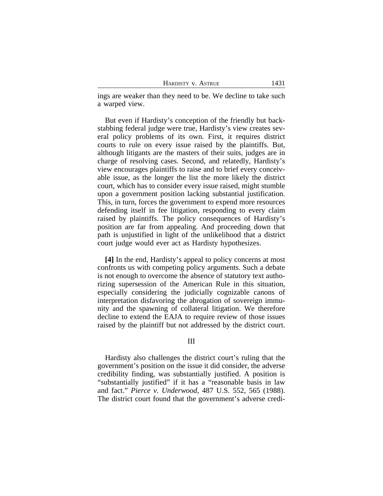| HARDISTY V. ASTRUE | 1431 |
|--------------------|------|
|                    |      |

ings are weaker than they need to be. We decline to take such a warped view.

But even if Hardisty's conception of the friendly but backstabbing federal judge were true, Hardisty's view creates several policy problems of its own. First, it requires district courts to rule on every issue raised by the plaintiffs. But, although litigants are the masters of their suits, judges are in charge of resolving cases. Second, and relatedly, Hardisty's view encourages plaintiffs to raise and to brief every conceivable issue, as the longer the list the more likely the district court, which has to consider every issue raised, might stumble upon a government position lacking substantial justification. This, in turn, forces the government to expend more resources defending itself in fee litigation, responding to every claim raised by plaintiffs. The policy consequences of Hardisty's position are far from appealing. And proceeding down that path is unjustified in light of the unlikelihood that a district court judge would ever act as Hardisty hypothesizes.

**[4]** In the end, Hardisty's appeal to policy concerns at most confronts us with competing policy arguments. Such a debate is not enough to overcome the absence of statutory text authorizing supersession of the American Rule in this situation, especially considering the judicially cognizable canons of interpretation disfavoring the abrogation of sovereign immunity and the spawning of collateral litigation. We therefore decline to extend the EAJA to require review of those issues raised by the plaintiff but not addressed by the district court.

#### III

Hardisty also challenges the district court's ruling that the government's position on the issue it did consider, the adverse credibility finding, was substantially justified. A position is "substantially justified" if it has a "reasonable basis in law and fact." *Pierce v. Underwood*, 487 U.S. 552, 565 (1988). The district court found that the government's adverse credi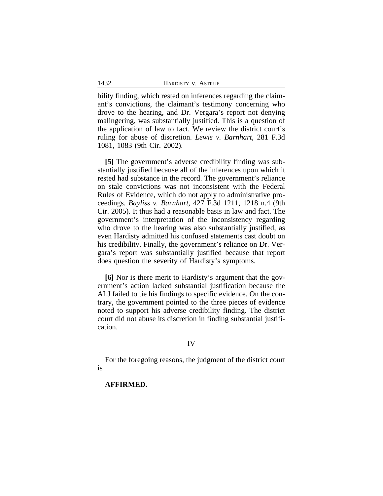bility finding, which rested on inferences regarding the claimant's convictions, the claimant's testimony concerning who drove to the hearing, and Dr. Vergara's report not denying malingering, was substantially justified. This is a question of the application of law to fact. We review the district court's ruling for abuse of discretion. *Lewis v. Barnhart*, 281 F.3d 1081, 1083 (9th Cir. 2002).

**[5]** The government's adverse credibility finding was substantially justified because all of the inferences upon which it rested had substance in the record. The government's reliance on stale convictions was not inconsistent with the Federal Rules of Evidence, which do not apply to administrative proceedings. *Bayliss v. Barnhart*, 427 F.3d 1211, 1218 n.4 (9th Cir. 2005). It thus had a reasonable basis in law and fact. The government's interpretation of the inconsistency regarding who drove to the hearing was also substantially justified, as even Hardisty admitted his confused statements cast doubt on his credibility. Finally, the government's reliance on Dr. Vergara's report was substantially justified because that report does question the severity of Hardisty's symptoms.

**[6]** Nor is there merit to Hardisty's argument that the government's action lacked substantial justification because the ALJ failed to tie his findings to specific evidence. On the contrary, the government pointed to the three pieces of evidence noted to support his adverse credibility finding. The district court did not abuse its discretion in finding substantial justification.

### IV

For the foregoing reasons, the judgment of the district court is

#### **AFFIRMED.**